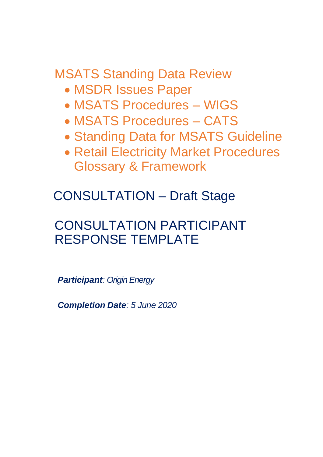MSATS Standing Data Review

- MSDR Issues Paper
- MSATS Procedures WIGS
- MSATS Procedures CATS
- Standing Data for MSATS Guideline
- Retail Electricity Market Procedures Glossary & Framework

CONSULTATION – Draft Stage

# CONSULTATION PARTICIPANT RESPONSE TEMPLATE

*Participant: Origin Energy*

*Completion Date: 5 June 2020*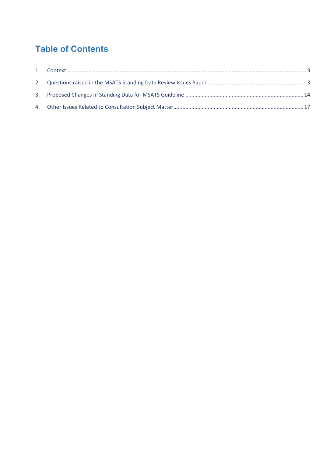# **Table of Contents**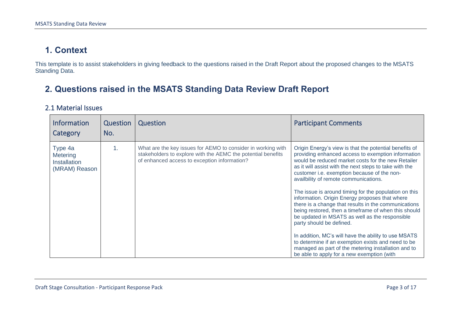### **1. Context**

This template is to assist stakeholders in giving feedback to the questions raised in the Draft Report about the proposed changes to the MSATS Standing Data.

### **2. Questions raised in the MSATS Standing Data Review Draft Report**

#### 2.1 Material Issues

<span id="page-2-1"></span><span id="page-2-0"></span>

| <b>Information</b><br>Category                              | Question<br>No. | Question                                                                                                                                                                     | <b>Participant Comments</b>                                                                                                                                                                                                                                                                                                                                                                                                                                                                                                                                                                                                                                                                                                                                                                                                                      |
|-------------------------------------------------------------|-----------------|------------------------------------------------------------------------------------------------------------------------------------------------------------------------------|--------------------------------------------------------------------------------------------------------------------------------------------------------------------------------------------------------------------------------------------------------------------------------------------------------------------------------------------------------------------------------------------------------------------------------------------------------------------------------------------------------------------------------------------------------------------------------------------------------------------------------------------------------------------------------------------------------------------------------------------------------------------------------------------------------------------------------------------------|
| Type 4a<br>Metering<br><b>Installation</b><br>(MRAM) Reason | 1.              | What are the key issues for AEMO to consider in working with<br>stakeholders to explore with the AEMC the potential benefits<br>of enhanced access to exception information? | Origin Energy's view is that the potential benefits of<br>providing enhanced access to exemption information<br>would be reduced market costs for the new Retailer<br>as it will assist with the next steps to take with the<br>customer i.e. exemption because of the non-<br>availbility of remote communications.<br>The issue is around timing for the population on this<br>information. Origin Energy proposes that where<br>there is a change that results in the communications<br>being restored, then a timeframe of when this should<br>be updated in MSATS as well as the responsible<br>party should be defined.<br>In addition, MC's will have the ability to use MSATS<br>to determine if an exemption exists and need to be<br>managed as part of the metering installation and to<br>be able to apply for a new exemption (with |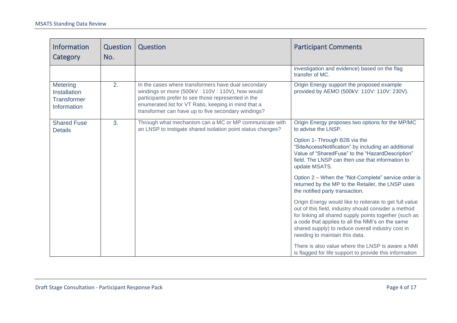| <b>Information</b><br>Category                                       | Question<br>No. | Question                                                                                                                                                                                                                                                                     | <b>Participant Comments</b>                                                                                                                                                                                                                                                                                          |
|----------------------------------------------------------------------|-----------------|------------------------------------------------------------------------------------------------------------------------------------------------------------------------------------------------------------------------------------------------------------------------------|----------------------------------------------------------------------------------------------------------------------------------------------------------------------------------------------------------------------------------------------------------------------------------------------------------------------|
|                                                                      |                 |                                                                                                                                                                                                                                                                              | investigation and evidence) based on the flag<br>transfer of MC.                                                                                                                                                                                                                                                     |
| Metering<br><b>Installation</b><br><b>Transformer</b><br>Information | 2.              | In the cases where transformers have dual secondary<br>windings or more (500kV: 110V: 110V), how would<br>participants prefer to see those represented in the<br>enumerated list for VT Ratio, keeping in mind that a<br>transformer can have up to five secondary windings? | Origin Energy support the proposed example<br>provided by AEMO (500kV: 110V: 110V: 230V).                                                                                                                                                                                                                            |
| <b>Shared Fuse</b><br><b>Details</b>                                 | 3.              | Through what mechanism can a MC or MP communicate with<br>an LNSP to instigate shared isolation point status changes?                                                                                                                                                        | Origin Energy proposes two options for the MP/MC<br>to advise the LNSP.                                                                                                                                                                                                                                              |
|                                                                      |                 |                                                                                                                                                                                                                                                                              | Option 1- Through B2B via the<br>"SiteAccessNotification" by including an additional<br>Value of "SharedFuse" to the "HazardDescription"<br>field. The LNSP can then use that information to<br>update MSATS.                                                                                                        |
|                                                                      |                 |                                                                                                                                                                                                                                                                              | Option 2 - When the "Not-Complete" service order is<br>returned by the MP to the Retailer, the LNSP uses<br>the notified party transaction.                                                                                                                                                                          |
|                                                                      |                 |                                                                                                                                                                                                                                                                              | Origin Energy would like to reiterate to get full value<br>out of this field, industry should consider a method<br>for linking all shared supply points together (such as<br>a code that applies to all the NMI's on the same<br>shared supply) to reduce overall industry cost in<br>needing to maintain this data. |
|                                                                      |                 |                                                                                                                                                                                                                                                                              | There is also value where the LNSP is aware a NMI<br>is flagged for life support to provide this information                                                                                                                                                                                                         |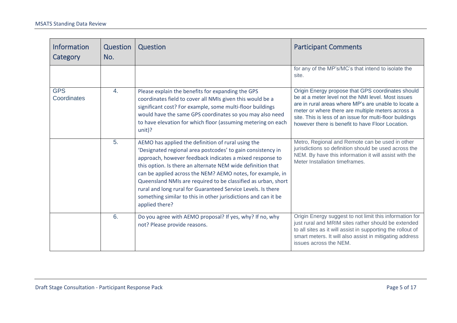| <b>Information</b><br>Category | Question<br>No.  | Question                                                                                                                                                                                                                                                                                                                                                                                                                                                                                                                        | <b>Participant Comments</b>                                                                                                                                                                                                                                                                                                          |
|--------------------------------|------------------|---------------------------------------------------------------------------------------------------------------------------------------------------------------------------------------------------------------------------------------------------------------------------------------------------------------------------------------------------------------------------------------------------------------------------------------------------------------------------------------------------------------------------------|--------------------------------------------------------------------------------------------------------------------------------------------------------------------------------------------------------------------------------------------------------------------------------------------------------------------------------------|
|                                |                  |                                                                                                                                                                                                                                                                                                                                                                                                                                                                                                                                 | for any of the MP's/MC's that intend to isolate the<br>site.                                                                                                                                                                                                                                                                         |
| <b>GPS</b><br>Coordinates      | $\overline{4}$ . | Please explain the benefits for expanding the GPS<br>coordinates field to cover all NMIs given this would be a<br>significant cost? For example, some multi-floor buildings<br>would have the same GPS coordinates so you may also need<br>to have elevation for which floor (assuming metering on each<br>$unit)$ ?                                                                                                                                                                                                            | Origin Energy propose that GPS coordinates should<br>be at a meter level not the NMI level. Most issues<br>are in rural areas where MP's are unable to locate a<br>meter or where there are multiple meters across a<br>site. This is less of an issue for multi-floor buildings<br>however there is benefit to have Floor Location. |
|                                | 5.               | AEMO has applied the definition of rural using the<br>'Designated regional area postcodes' to gain consistency in<br>approach, however feedback indicates a mixed response to<br>this option. Is there an alternate NEM wide definition that<br>can be applied across the NEM? AEMO notes, for example, in<br>Queensland NMIs are required to be classified as urban, short<br>rural and long rural for Guaranteed Service Levels. Is there<br>something similar to this in other jurisdictions and can it be<br>applied there? | Metro, Regional and Remote can be used in other<br>jurisdictions so definition should be used across the<br>NEM. By have this information it will assist with the<br>Meter Installation timeframes.                                                                                                                                  |
|                                | 6.               | Do you agree with AEMO proposal? If yes, why? If no, why<br>not? Please provide reasons.                                                                                                                                                                                                                                                                                                                                                                                                                                        | Origin Energy suggest to not limit this information for<br>just rural and MRIM sites rather should be extended<br>to all sites as it will assist in supporting the rollout of<br>smart meters. It will also assist in mitigating address<br>issues across the NEM.                                                                   |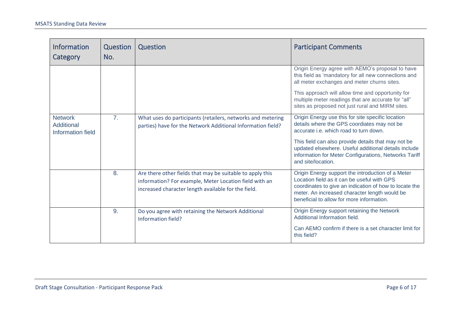| <b>Information</b><br>Category                    | Question<br>No. | Question                                                                                                                                                                   | <b>Participant Comments</b>                                                                                                                                                                                                                              |
|---------------------------------------------------|-----------------|----------------------------------------------------------------------------------------------------------------------------------------------------------------------------|----------------------------------------------------------------------------------------------------------------------------------------------------------------------------------------------------------------------------------------------------------|
|                                                   |                 |                                                                                                                                                                            | Origin Energy agree with AEMO's proposal to have<br>this field as 'mandatory for all new connections and<br>all meter exchanges and meter churns sites.                                                                                                  |
|                                                   |                 |                                                                                                                                                                            | This approach will allow time and opportunity for<br>multiple meter readings that are accurate for "all"<br>sites as proposed not just rural and MIRM sites.                                                                                             |
| <b>Network</b><br>Additional<br>Information field | 7 <sub>1</sub>  | What uses do participants (retailers, networks and metering<br>parties) have for the Network Additional Information field?                                                 | Origin Energy use this for site specific location<br>details where the GPS coordiates may not be<br>accurate i.e. which road to turn down.                                                                                                               |
|                                                   |                 |                                                                                                                                                                            | This field can also provide details that may not be<br>updated elsewhere. Useful additional details include<br>information for Meter Configurations, Networks Tariff<br>and site/location.                                                               |
|                                                   | 8.              | Are there other fields that may be suitable to apply this<br>information? For example, Meter Location field with an<br>increased character length available for the field. | Origin Energy support the introduction of a Meter<br>Location field as it can be useful with GPS<br>coordinates to give an indication of how to locate the<br>meter. An increased character length would be<br>beneficial to allow for more information. |
|                                                   | 9.              | Do you agree with retaining the Network Additional<br>Information field?                                                                                                   | Origin Energy support retaining the Network<br>Additional Information field.                                                                                                                                                                             |
|                                                   |                 |                                                                                                                                                                            | Can AEMO confirm if there is a set character limit for<br>this field?                                                                                                                                                                                    |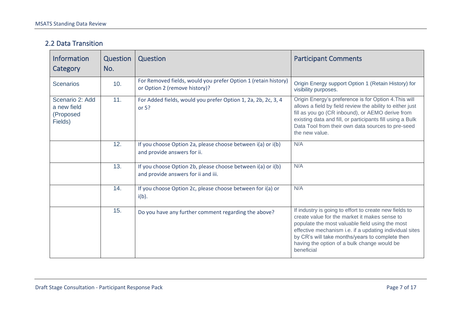#### 2.2 Data Transition

| <b>Information</b><br>Category                         | Question<br>No. | Question                                                                                           | <b>Participant Comments</b>                                                                                                                                                                                                                                                                                                           |
|--------------------------------------------------------|-----------------|----------------------------------------------------------------------------------------------------|---------------------------------------------------------------------------------------------------------------------------------------------------------------------------------------------------------------------------------------------------------------------------------------------------------------------------------------|
| <b>Scenarios</b>                                       | 10.             | For Removed fields, would you prefer Option 1 (retain history)<br>or Option 2 (remove history)?    | Origin Energy support Option 1 (Retain History) for<br>visibility purposes.                                                                                                                                                                                                                                                           |
| Scenario 2: Add<br>a new field<br>(Proposed<br>Fields) | 11.             | For Added fields, would you prefer Option 1, 2a, 2b, 2c, 3, 4<br>or $5?$                           | Origin Energy's preference is for Option 4. This will<br>allows a field by field review the ability to either just<br>fill as you go (CR inbound), or AEMO derive from<br>existing data and fill, or participants fill using a Bulk<br>Data Tool from their own data sources to pre-seed<br>the new value.                            |
|                                                        | 12.             | If you choose Option 2a, please choose between i(a) or i(b)<br>and provide answers for ii.         | N/A                                                                                                                                                                                                                                                                                                                                   |
|                                                        | 13.             | If you choose Option 2b, please choose between i(a) or i(b)<br>and provide answers for ii and iii. | N/A                                                                                                                                                                                                                                                                                                                                   |
|                                                        | 14.             | If you choose Option 2c, please choose between for i(a) or<br>$i(b)$ .                             | N/A                                                                                                                                                                                                                                                                                                                                   |
|                                                        | 15.             | Do you have any further comment regarding the above?                                               | If industry is going to effort to create new fields to<br>create value for the market it makes sense to<br>populate the most valuable field using the most<br>effective mechanism i.e. if a updating individual sites<br>by CR's will take months/years to complete then<br>having the option of a bulk change would be<br>beneficial |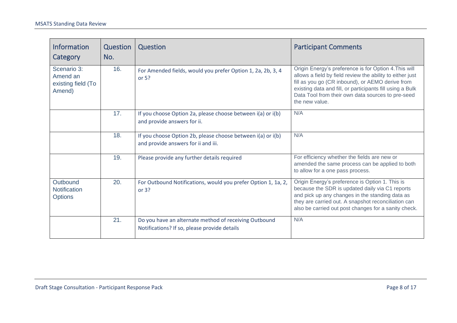| <b>Information</b><br>Category                          | Question<br>No. | Question                                                                                              | <b>Participant Comments</b>                                                                                                                                                                                                                                                                                |
|---------------------------------------------------------|-----------------|-------------------------------------------------------------------------------------------------------|------------------------------------------------------------------------------------------------------------------------------------------------------------------------------------------------------------------------------------------------------------------------------------------------------------|
| Scenario 3:<br>Amend an<br>existing field (To<br>Amend) | 16.             | For Amended fields, would you prefer Option 1, 2a, 2b, 3, 4<br>or $5?$                                | Origin Energy's preference is for Option 4. This will<br>allows a field by field review the ability to either just<br>fill as you go (CR inbound), or AEMO derive from<br>existing data and fill, or participants fill using a Bulk<br>Data Tool from their own data sources to pre-seed<br>the new value. |
|                                                         | 17.             | If you choose Option 2a, please choose between i(a) or i(b)<br>and provide answers for ii.            | N/A                                                                                                                                                                                                                                                                                                        |
|                                                         | 18.             | If you choose Option 2b, please choose between i(a) or i(b)<br>and provide answers for ii and iii.    | N/A                                                                                                                                                                                                                                                                                                        |
|                                                         | 19.             | Please provide any further details required                                                           | For efficiency whether the fields are new or<br>amended the same process can be applied to both<br>to allow for a one pass process.                                                                                                                                                                        |
| Outbound<br><b>Notification</b><br><b>Options</b>       | 20.             | For Outbound Notifications, would you prefer Option 1, 1a, 2,<br>or $3?$                              | Origin Energy's preference is Option 1. This is<br>because the SDR is updated daily via C1 reports<br>and pick up any changes in the standing data as<br>they are carried out. A snapshot reconciliation can<br>also be carried out post changes for a sanity check.                                       |
|                                                         | 21.             | Do you have an alternate method of receiving Outbound<br>Notifications? If so, please provide details | N/A                                                                                                                                                                                                                                                                                                        |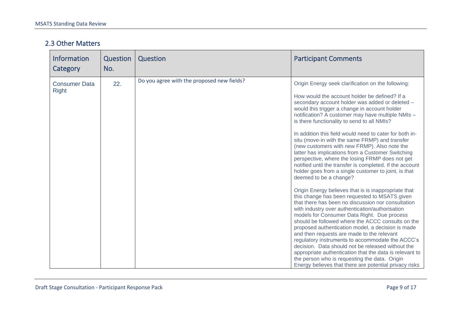#### 2.3 Other Matters

| Information<br>Category              | Question<br>No. | Question                                   | <b>Participant Comments</b>                                                                                                                                                                                                                                                                                                                                                                                                                                                                                                                                                                                                                                                                                                                                                                                                                                                                                                                                                                                                                                                                                                                                                                                                                                                                                                                                                                                                            |
|--------------------------------------|-----------------|--------------------------------------------|----------------------------------------------------------------------------------------------------------------------------------------------------------------------------------------------------------------------------------------------------------------------------------------------------------------------------------------------------------------------------------------------------------------------------------------------------------------------------------------------------------------------------------------------------------------------------------------------------------------------------------------------------------------------------------------------------------------------------------------------------------------------------------------------------------------------------------------------------------------------------------------------------------------------------------------------------------------------------------------------------------------------------------------------------------------------------------------------------------------------------------------------------------------------------------------------------------------------------------------------------------------------------------------------------------------------------------------------------------------------------------------------------------------------------------------|
| <b>Consumer Data</b><br><b>Right</b> | 22.             | Do you agree with the proposed new fields? | Origin Energy seek clarification on the following:<br>How would the account holder be defined? If a<br>secondary account holder was added or deleted -<br>would this trigger a change in account holder<br>notification? A customer may have multiple NMIs -<br>is there functionality to send to all NMIs?<br>In addition this field would need to cater for both in-<br>situ (move-in with the same FRMP) and transfer<br>(new customers with new FRMP). Also note the<br>latter has implications from a Customer Switching<br>perspective, where the losing FRMP does not get<br>notified until the transfer is completed. If the account<br>holder goes from a single customer to joint, is that<br>deemed to be a change?<br>Origin Energy believes that is is inappropriate that<br>this change has been requested to MSATS given<br>that there has been no discussion nor consultation<br>with industry over authentication/authorisation<br>models for Consumer Data Right. Due process<br>should be followed where the ACCC consults on the<br>proposed authentication model, a decision is made<br>and then requests are made to the relevant<br>regulatory instruments to accommodate the ACCC's<br>decision. Data should not be released without the<br>appropriate authentication that the data is relevant to<br>the person who is requesting the data. Origin<br>Energy believes that there are potential privacy risks |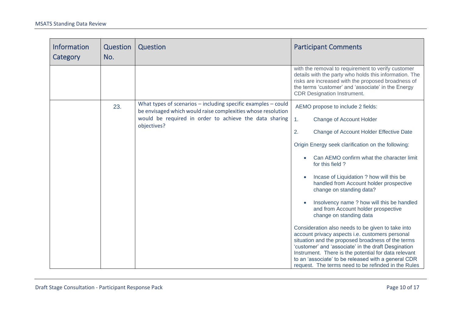| <b>Information</b><br>Category | Question<br>No. | Question                                                                                                                                                                                                   | <b>Participant Comments</b>                                                                                                                                                                                                                                                                                                                                                                                                                                                                                                                                                                                                                                                                                                                                                                                                                                                                |
|--------------------------------|-----------------|------------------------------------------------------------------------------------------------------------------------------------------------------------------------------------------------------------|--------------------------------------------------------------------------------------------------------------------------------------------------------------------------------------------------------------------------------------------------------------------------------------------------------------------------------------------------------------------------------------------------------------------------------------------------------------------------------------------------------------------------------------------------------------------------------------------------------------------------------------------------------------------------------------------------------------------------------------------------------------------------------------------------------------------------------------------------------------------------------------------|
|                                |                 |                                                                                                                                                                                                            | with the removal to requirement to verify customer<br>details with the party who holds this information. The<br>risks are increased with the proposed broadness of<br>the terms 'customer' and 'associate' in the Energy<br><b>CDR Designation Instrument.</b>                                                                                                                                                                                                                                                                                                                                                                                                                                                                                                                                                                                                                             |
|                                | 23.             | What types of scenarios $-$ including specific examples $-$ could<br>be envisaged which would raise complexities whose resolution<br>would be required in order to achieve the data sharing<br>objectives? | AEMO propose to include 2 fields:<br><b>Change of Account Holder</b><br>1 <sub>1</sub><br>2.<br>Change of Account Holder Effective Date<br>Origin Energy seek clarification on the following:<br>Can AEMO confirm what the character limit<br>for this field?<br>Incase of Liquidation ? how will this be<br>handled from Account holder prospective<br>change on standing data?<br>Insolvency name ? how will this be handled<br>and from Account holder prospective<br>change on standing data<br>Consideration also needs to be given to take into<br>account privacy aspects i.e. customers personal<br>situation and the proposed broadness of the terms<br>'customer' and 'associate' in the draft Desgination<br>Instrument. There is the potential for data relevant<br>to an 'associate' to be released with a general CDR<br>request. The terms need to be refinded in the Rules |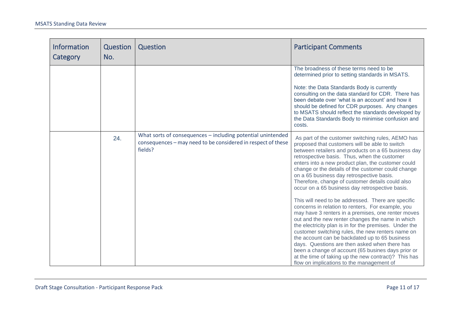| <b>Information</b><br>Category | Question<br>No. | Question                                                                                                                               | <b>Participant Comments</b>                                                                                                                                                                                                                                                                                                                                                                                                                                                                                                              |
|--------------------------------|-----------------|----------------------------------------------------------------------------------------------------------------------------------------|------------------------------------------------------------------------------------------------------------------------------------------------------------------------------------------------------------------------------------------------------------------------------------------------------------------------------------------------------------------------------------------------------------------------------------------------------------------------------------------------------------------------------------------|
|                                |                 |                                                                                                                                        | The broadness of these terms need to be<br>determined prior to setting standards in MSATS.<br>Note: the Data Standards Body is currently<br>consulting on the data standard for CDR. There has<br>been debate over 'what is an account' and how it<br>should be defined for CDR purposes. Any changes<br>to MSATS should reflect the standards developed by<br>the Data Standards Body to minimise confusion and<br>costs.                                                                                                               |
|                                | 24.             | What sorts of consequences - including potential unintended<br>consequences - may need to be considered in respect of these<br>fields? | As part of the customer switching rules, AEMO has<br>proposed that customers will be able to switch<br>between retailers and products on a 65 business day<br>retrospective basis. Thus, when the customer<br>enters into a new product plan, the customer could<br>change or the details of the customer could change<br>on a 65 business day retrospective basis.<br>Therefore, change of customer details could also<br>occur on a 65 business day retrospective basis.<br>This will need to be addressed. There are specific         |
|                                |                 |                                                                                                                                        | concerns in relation to renters, For example, you<br>may have 3 renters in a premises, one renter moves<br>out and the new renter changes the name in which<br>the electricity plan is in for the premises. Under the<br>customer switching rules, the new renters name on<br>the account can be backdated up to 65 business<br>days. Questions are then asked when there has<br>been a change of account (65 busines days prior or<br>at the time of taking up the new contract)? This has<br>flow on implications to the management of |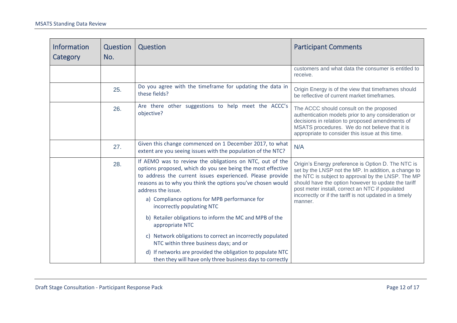| <b>Information</b><br>Category | Question<br>No. | Question                                                                                                                                                                                                                                                                                                                                                 | <b>Participant Comments</b>                                                                                                                                                                                                                                                                                                                      |
|--------------------------------|-----------------|----------------------------------------------------------------------------------------------------------------------------------------------------------------------------------------------------------------------------------------------------------------------------------------------------------------------------------------------------------|--------------------------------------------------------------------------------------------------------------------------------------------------------------------------------------------------------------------------------------------------------------------------------------------------------------------------------------------------|
|                                |                 |                                                                                                                                                                                                                                                                                                                                                          | customers and what data the consumer is entitled to<br>receive.                                                                                                                                                                                                                                                                                  |
|                                | 25.             | Do you agree with the timeframe for updating the data in<br>these fields?                                                                                                                                                                                                                                                                                | Origin Energy is of the view that timeframes should<br>be reflective of current market timeframes.                                                                                                                                                                                                                                               |
|                                | 26.             | Are there other suggestions to help meet the ACCC's<br>objective?                                                                                                                                                                                                                                                                                        | The ACCC should consult on the proposed<br>authentication models prior to any consideration or<br>decisions in relation to proposed amendments of<br>MSATS procedures. We do not believe that it is<br>appropriate to consider this issue at this time.                                                                                          |
|                                | 27.             | Given this change commenced on 1 December 2017, to what<br>extent are you seeing issues with the population of the NTC?                                                                                                                                                                                                                                  | N/A                                                                                                                                                                                                                                                                                                                                              |
|                                | 28.             | If AEMO was to review the obligations on NTC, out of the<br>options proposed, which do you see being the most effective<br>to address the current issues experienced. Please provide<br>reasons as to why you think the options you've chosen would<br>address the issue.<br>a) Compliance options for MPB performance for<br>incorrectly populating NTC | Origin's Energy preference is Option D. The NTC is<br>set by the LNSP not the MP. In addition, a change to<br>the NTC is subject to approval by the LNSP. The MP<br>should have the option however to update the tariff<br>post meter install, correct an NTC if populated<br>incorrectly or if the tariff is not updated in a timely<br>manner. |
|                                |                 | b) Retailer obligations to inform the MC and MPB of the<br>appropriate NTC                                                                                                                                                                                                                                                                               |                                                                                                                                                                                                                                                                                                                                                  |
|                                |                 | c) Network obligations to correct an incorrectly populated<br>NTC within three business days; and or                                                                                                                                                                                                                                                     |                                                                                                                                                                                                                                                                                                                                                  |
|                                |                 | d) If networks are provided the obligation to populate NTC<br>then they will have only three business days to correctly                                                                                                                                                                                                                                  |                                                                                                                                                                                                                                                                                                                                                  |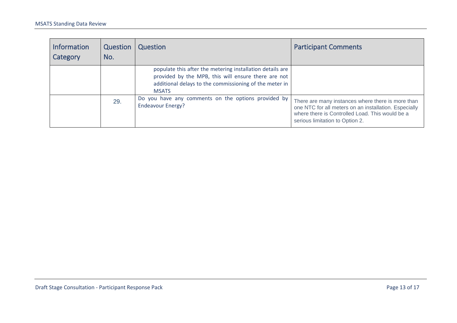<span id="page-12-0"></span>

| <b>Information</b><br>Category | Question<br>No. | Question                                                                                                                                                                                   | <b>Participant Comments</b>                                                                                                                                                                      |
|--------------------------------|-----------------|--------------------------------------------------------------------------------------------------------------------------------------------------------------------------------------------|--------------------------------------------------------------------------------------------------------------------------------------------------------------------------------------------------|
|                                |                 | populate this after the metering installation details are<br>provided by the MPB, this will ensure there are not<br>additional delays to the commissioning of the meter in<br><b>MSATS</b> |                                                                                                                                                                                                  |
|                                | 29.             | Do you have any comments on the options provided by<br><b>Endeavour Energy?</b>                                                                                                            | There are many instances where there is more than<br>one NTC for all meters on an installation. Especially<br>where there is Controlled Load. This would be a<br>serious limitation to Option 2. |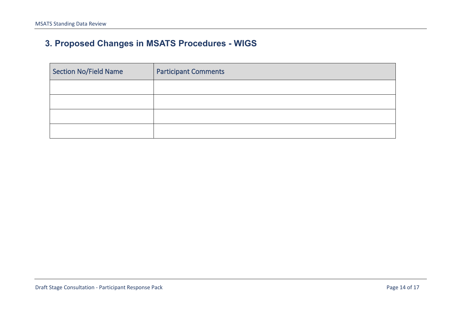## **3. Proposed Changes in MSATS Procedures - WIGS**

| Section No/Field Name | <b>Participant Comments</b> |
|-----------------------|-----------------------------|
|                       |                             |
|                       |                             |
|                       |                             |
|                       |                             |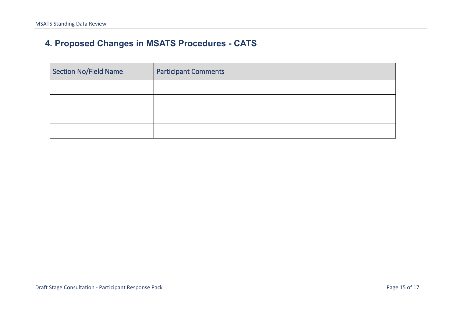## **4. Proposed Changes in MSATS Procedures - CATS**

| Section No/Field Name | <b>Participant Comments</b> |
|-----------------------|-----------------------------|
|                       |                             |
|                       |                             |
|                       |                             |
|                       |                             |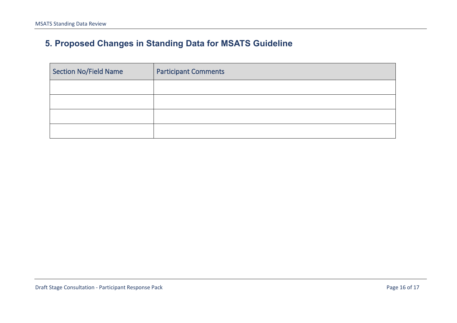## **5. Proposed Changes in Standing Data for MSATS Guideline**

| Section No/Field Name | <b>Participant Comments</b> |
|-----------------------|-----------------------------|
|                       |                             |
|                       |                             |
|                       |                             |
|                       |                             |